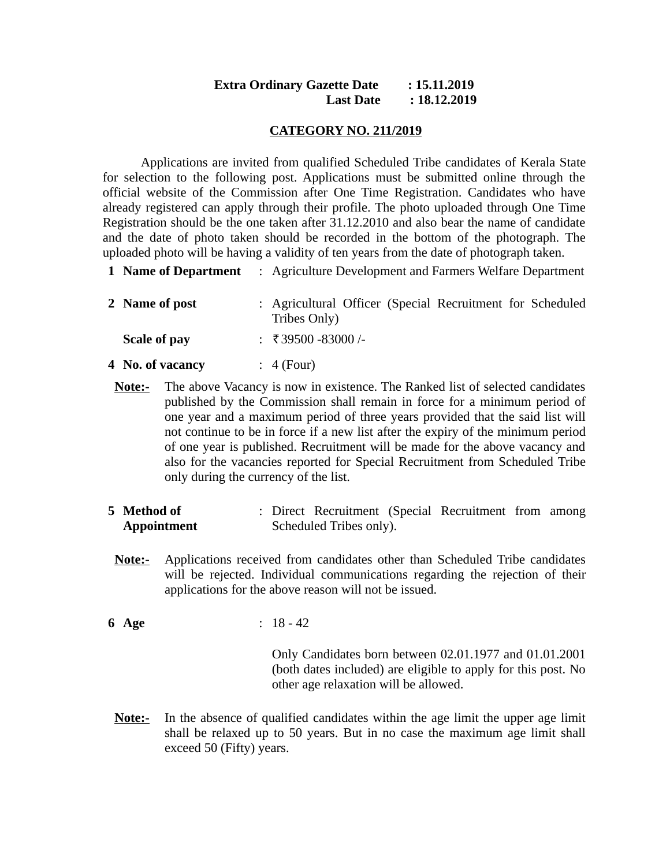### **Extra Ordinary Gazette Date : 15.11.2019 Last Date : 18.12.2019**

#### **CATEGORY NO. 211/2019**

Applications are invited from qualified Scheduled Tribe candidates of Kerala State for selection to the following post. Applications must be submitted online through the official website of the Commission after One Time Registration. Candidates who have already registered can apply through their profile. The photo uploaded through One Time Registration should be the one taken after 31.12.2010 and also bear the name of candidate and the date of photo taken should be recorded in the bottom of the photograph. The uploaded photo will be having a validity of ten years from the date of photograph taken.

**1 Name of Department** : Agriculture Development and Farmers Welfare Department

| 2 Name of post   | : Agricultural Officer (Special Recruitment for Scheduled<br>Tribes Only) |
|------------------|---------------------------------------------------------------------------|
| Scale of pay     | $\div$ ₹39500 -83000 /-                                                   |
| 4 No. of vacancy | $\colon$ 4 (Four)                                                         |

- **Note:-** The above Vacancy is now in existence. The Ranked list of selected candidates published by the Commission shall remain in force for a minimum period of one year and a maximum period of three years provided that the said list will not continue to be in force if a new list after the expiry of the minimum period of one year is published. Recruitment will be made for the above vacancy and also for the vacancies reported for Special Recruitment from Scheduled Tribe only during the currency of the list.
- **5 Method of Appointment** : Direct Recruitment (Special Recruitment from among Scheduled Tribes only).
- **Note:-** Applications received from candidates other than Scheduled Tribe candidates will be rejected. Individual communications regarding the rejection of their applications for the above reason will not be issued.
- **6 Age** : 18 42

Only Candidates born between 02.01.1977 and 01.01.2001 (both dates included) are eligible to apply for this post. No other age relaxation will be allowed.

**Note:-** In the absence of qualified candidates within the age limit the upper age limit shall be relaxed up to 50 years. But in no case the maximum age limit shall exceed 50 (Fifty) years.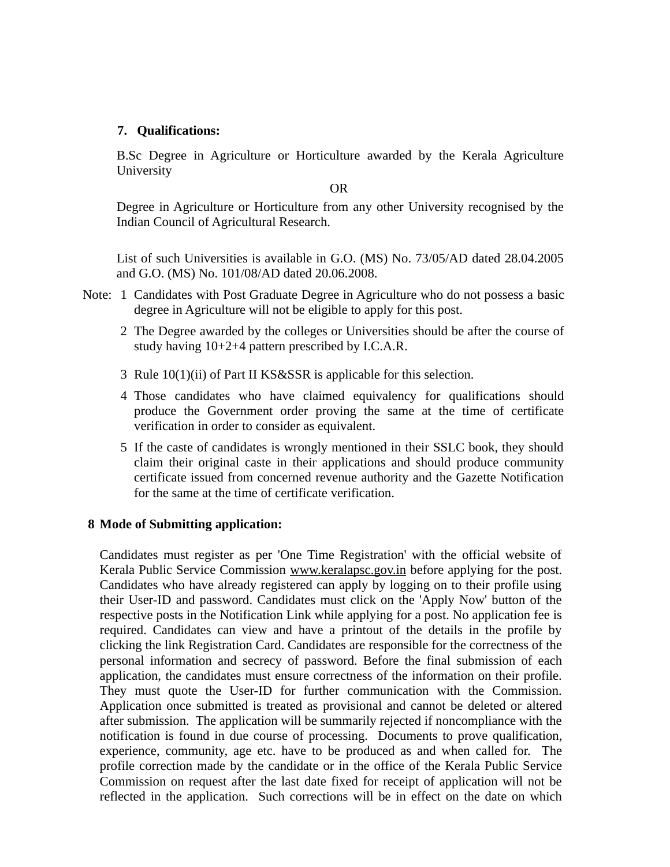# **7. Qualifications:**

B.Sc Degree in Agriculture or Horticulture awarded by the Kerala Agriculture University

OR

Degree in Agriculture or Horticulture from any other University recognised by the Indian Council of Agricultural Research.

List of such Universities is available in G.O. (MS) No. 73/05/AD dated 28.04.2005 and G.O. (MS) No. 101/08/AD dated 20.06.2008.

- Note: 1 Candidates with Post Graduate Degree in Agriculture who do not possess a basic degree in Agriculture will not be eligible to apply for this post.
	- 2 The Degree awarded by the colleges or Universities should be after the course of study having 10+2+4 pattern prescribed by I.C.A.R.
	- 3 Rule 10(1)(ii) of Part II KS&SSR is applicable for this selection.
	- 4 Those candidates who have claimed equivalency for qualifications should produce the Government order proving the same at the time of certificate verification in order to consider as equivalent.
	- 5 If the caste of candidates is wrongly mentioned in their SSLC book, they should claim their original caste in their applications and should produce community certificate issued from concerned revenue authority and the Gazette Notification for the same at the time of certificate verification.

# **8 Mode of Submitting application:**

Candidates must register as per 'One Time Registration' with the official website of Kerala Public Service Commission www.keralapsc.gov.in before applying for the post. Candidates who have already registered can apply by logging on to their profile using their User-ID and password. Candidates must click on the 'Apply Now' button of the respective posts in the Notification Link while applying for a post. No application fee is required. Candidates can view and have a printout of the details in the profile by clicking the link Registration Card. Candidates are responsible for the correctness of the personal information and secrecy of password. Before the final submission of each application, the candidates must ensure correctness of the information on their profile. They must quote the User-ID for further communication with the Commission. Application once submitted is treated as provisional and cannot be deleted or altered after submission. The application will be summarily rejected if noncompliance with the notification is found in due course of processing. Documents to prove qualification, experience, community, age etc. have to be produced as and when called for. The profile correction made by the candidate or in the office of the Kerala Public Service Commission on request after the last date fixed for receipt of application will not be reflected in the application. Such corrections will be in effect on the date on which